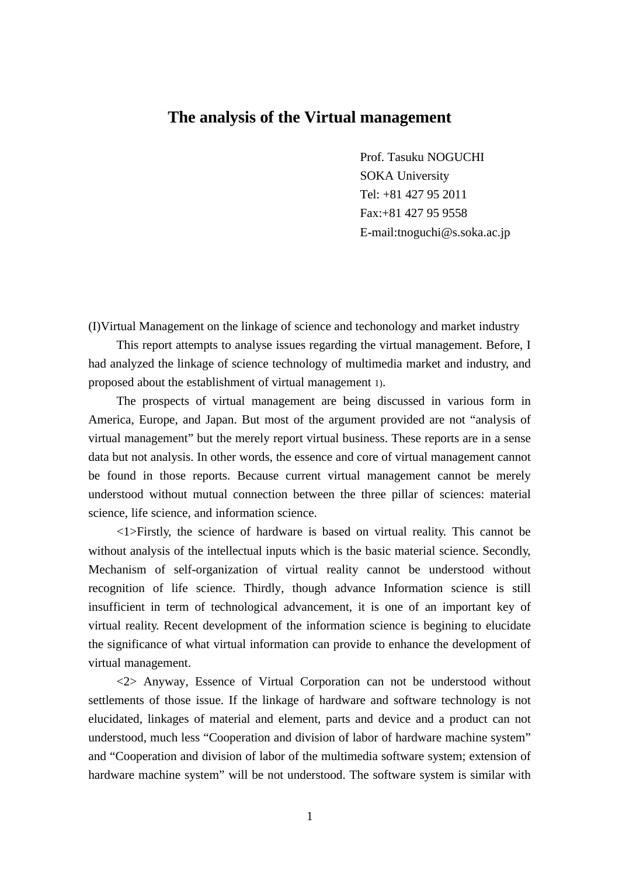# **The analysis of the Virtual management**

Prof. Tasuku NOGUCHI SOKA University Tel: +81 427 95 2011 Fax:+81 427 95 9558 E-mail:tnoguchi@s.soka.ac.jp

(I)Virtual Management on the linkage of science and techonology and market industry

This report attempts to analyse issues regarding the virtual management. Before, I had analyzed the linkage of science technology of multimedia market and industry, and proposed about the establishment of virtual management 1).

The prospects of virtual management are being discussed in various form in America, Europe, and Japan. But most of the argument provided are not "analysis of virtual management" but the merely report virtual business. These reports are in a sense data but not analysis. In other words, the essence and core of virtual management cannot be found in those reports. Because current virtual management cannot be merely understood without mutual connection between the three pillar of sciences: material science, life science, and information science.

<1>Firstly, the science of hardware is based on virtual reality. This cannot be without analysis of the intellectual inputs which is the basic material science. Secondly, Mechanism of self-organization of virtual reality cannot be understood without recognition of life science. Thirdly, though advance Information science is still insufficient in term of technological advancement, it is one of an important key of virtual reality. Recent development of the information science is begining to elucidate the significance of what virtual information can provide to enhance the development of virtual management.

<2> Anyway, Essence of Virtual Corporation can not be understood without settlements of those issue. If the linkage of hardware and software technology is not elucidated, linkages of material and element, parts and device and a product can not understood, much less "Cooperation and division of labor of hardware machine system" and "Cooperation and division of labor of the multimedia software system; extension of hardware machine system" will be not understood. The software system is similar with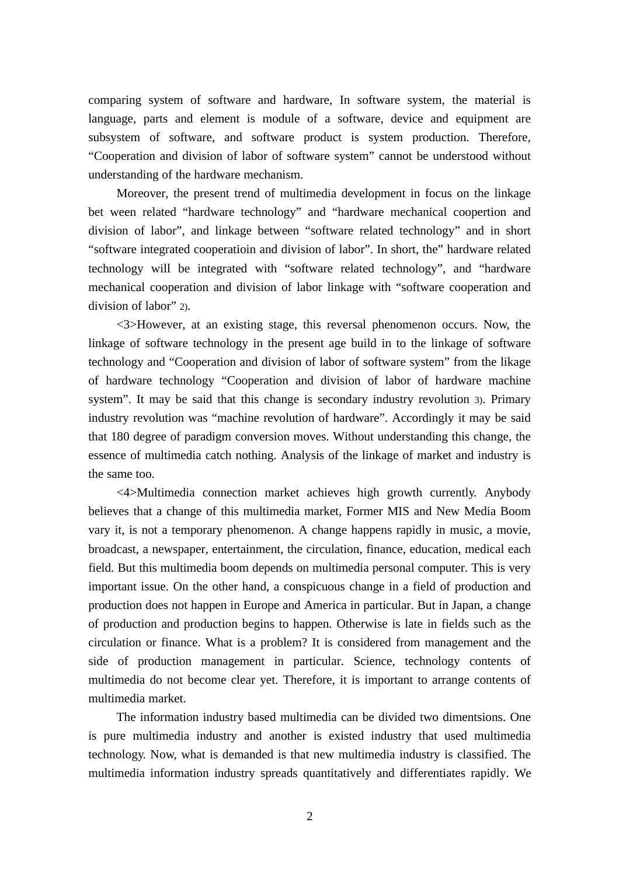comparing system of software and hardware, In software system, the material is language, parts and element is module of a software, device and equipment are subsystem of software, and software product is system production. Therefore, "Cooperation and division of labor of software system" cannot be understood without understanding of the hardware mechanism.

Moreover, the present trend of multimedia development in focus on the linkage bet ween related "hardware technology" and "hardware mechanical coopertion and division of labor", and linkage between "software related technology" and in short "software integrated cooperatioin and division of labor". In short, the" hardware related technology will be integrated with "software related technology", and "hardware mechanical cooperation and division of labor linkage with "software cooperation and division of labor" 2).

<3>However, at an existing stage, this reversal phenomenon occurs. Now, the linkage of software technology in the present age build in to the linkage of software technology and "Cooperation and division of labor of software system" from the likage of hardware technology "Cooperation and division of labor of hardware machine system". It may be said that this change is secondary industry revolution 3). Primary industry revolution was "machine revolution of hardware". Accordingly it may be said that 180 degree of paradigm conversion moves. Without understanding this change, the essence of multimedia catch nothing. Analysis of the linkage of market and industry is the same too.

<4>Multimedia connection market achieves high growth currently. Anybody believes that a change of this multimedia market, Former MIS and New Media Boom vary it, is not a temporary phenomenon. A change happens rapidly in music, a movie, broadcast, a newspaper, entertainment, the circulation, finance, education, medical each field. But this multimedia boom depends on multimedia personal computer. This is very important issue. On the other hand, a conspicuous change in a field of production and production does not happen in Europe and America in particular. But in Japan, a change of production and production begins to happen. Otherwise is late in fields such as the circulation or finance. What is a problem? It is considered from management and the side of production management in particular. Science, technology contents of multimedia do not become clear yet. Therefore, it is important to arrange contents of multimedia market.

The information industry based multimedia can be divided two dimentsions. One is pure multimedia industry and another is existed industry that used multimedia technology. Now, what is demanded is that new multimedia industry is classified. The multimedia information industry spreads quantitatively and differentiates rapidly. We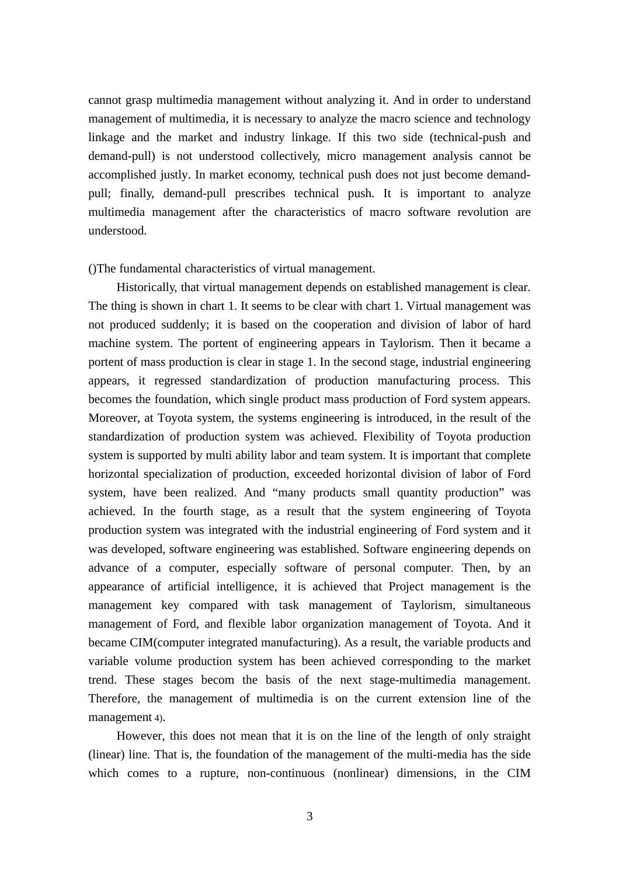cannot grasp multimedia management without analyzing it. And in order to understand management of multimedia, it is necessary to analyze the macro science and technology linkage and the market and industry linkage. If this two side (technical-push and demand-pull) is not understood collectively, micro management analysis cannot be accomplished justly. In market economy, technical push does not just become demandpull; finally, demand-pull prescribes technical push. It is important to analyze multimedia management after the characteristics of macro software revolution are understood.

()The fundamental characteristics of virtual management.

Historically, that virtual management depends on established management is clear. The thing is shown in chart 1. It seems to be clear with chart 1. Virtual management was not produced suddenly; it is based on the cooperation and division of labor of hard machine system. The portent of engineering appears in Taylorism. Then it became a portent of mass production is clear in stage 1. In the second stage, industrial engineering appears, it regressed standardization of production manufacturing process. This becomes the foundation, which single product mass production of Ford system appears. Moreover, at Toyota system, the systems engineering is introduced, in the result of the standardization of production system was achieved. Flexibility of Toyota production system is supported by multi ability labor and team system. It is important that complete horizontal specialization of production, exceeded horizontal division of labor of Ford system, have been realized. And "many products small quantity production" was achieved. In the fourth stage, as a result that the system engineering of Toyota production system was integrated with the industrial engineering of Ford system and it was developed, software engineering was established. Software engineering depends on advance of a computer, especially software of personal computer. Then, by an appearance of artificial intelligence, it is achieved that Project management is the management key compared with task management of Taylorism, simultaneous management of Ford, and flexible labor organization management of Toyota. And it became CIM(computer integrated manufacturing). As a result, the variable products and variable volume production system has been achieved corresponding to the market trend. These stages becom the basis of the next stage-multimedia management. Therefore, the management of multimedia is on the current extension line of the management 4).

However, this does not mean that it is on the line of the length of only straight (linear) line. That is, the foundation of the management of the multi-media has the side which comes to a rupture, non-continuous (nonlinear) dimensions, in the CIM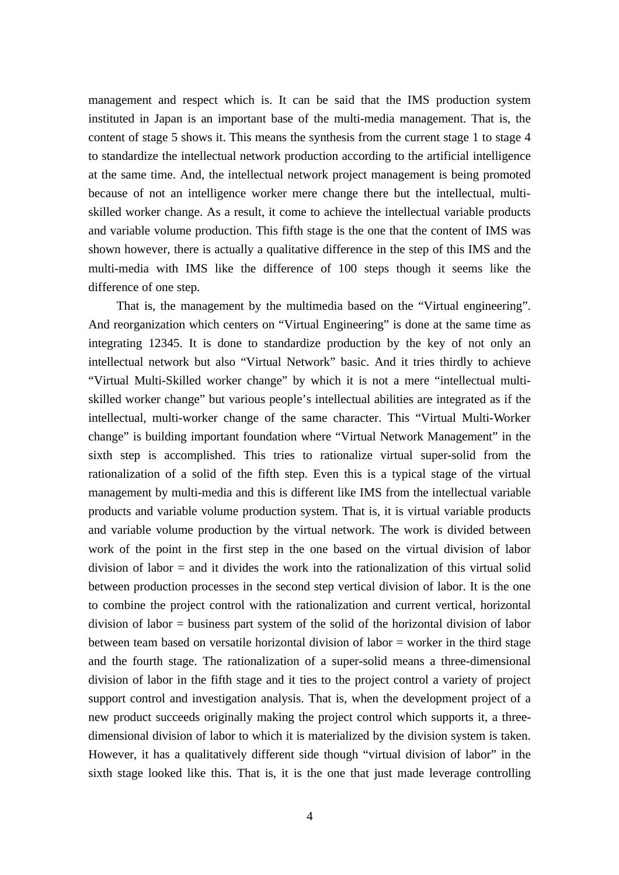management and respect which is. It can be said that the IMS production system instituted in Japan is an important base of the multi-media management. That is, the content of stage 5 shows it. This means the synthesis from the current stage 1 to stage 4 to standardize the intellectual network production according to the artificial intelligence at the same time. And, the intellectual network project management is being promoted because of not an intelligence worker mere change there but the intellectual, multiskilled worker change. As a result, it come to achieve the intellectual variable products and variable volume production. This fifth stage is the one that the content of IMS was shown however, there is actually a qualitative difference in the step of this IMS and the multi-media with IMS like the difference of 100 steps though it seems like the difference of one step.

That is, the management by the multimedia based on the "Virtual engineering". And reorganization which centers on "Virtual Engineering" is done at the same time as integrating 12345. It is done to standardize production by the key of not only an intellectual network but also "Virtual Network" basic. And it tries thirdly to achieve "Virtual Multi-Skilled worker change" by which it is not a mere "intellectual multiskilled worker change" but various people's intellectual abilities are integrated as if the intellectual, multi-worker change of the same character. This "Virtual Multi-Worker change" is building important foundation where "Virtual Network Management" in the sixth step is accomplished. This tries to rationalize virtual super-solid from the rationalization of a solid of the fifth step. Even this is a typical stage of the virtual management by multi-media and this is different like IMS from the intellectual variable products and variable volume production system. That is, it is virtual variable products and variable volume production by the virtual network. The work is divided between work of the point in the first step in the one based on the virtual division of labor division of labor  $=$  and it divides the work into the rationalization of this virtual solid between production processes in the second step vertical division of labor. It is the one to combine the project control with the rationalization and current vertical, horizontal division of labor = business part system of the solid of the horizontal division of labor between team based on versatile horizontal division of labor  $=$  worker in the third stage and the fourth stage. The rationalization of a super-solid means a three-dimensional division of labor in the fifth stage and it ties to the project control a variety of project support control and investigation analysis. That is, when the development project of a new product succeeds originally making the project control which supports it, a threedimensional division of labor to which it is materialized by the division system is taken. However, it has a qualitatively different side though "virtual division of labor" in the sixth stage looked like this. That is, it is the one that just made leverage controlling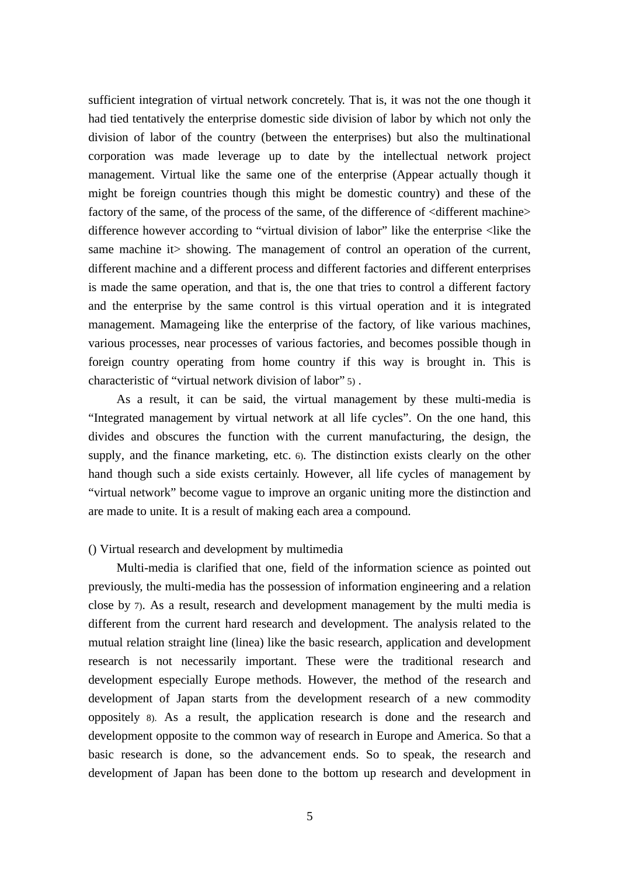sufficient integration of virtual network concretely. That is, it was not the one though it had tied tentatively the enterprise domestic side division of labor by which not only the division of labor of the country (between the enterprises) but also the multinational corporation was made leverage up to date by the intellectual network project management. Virtual like the same one of the enterprise (Appear actually though it might be foreign countries though this might be domestic country) and these of the factory of the same, of the process of the same, of the difference of  $\leq$  different machine $\geq$ difference however according to "virtual division of labor" like the enterprise <like the same machine it is showing. The management of control an operation of the current, different machine and a different process and different factories and different enterprises is made the same operation, and that is, the one that tries to control a different factory and the enterprise by the same control is this virtual operation and it is integrated management. Mamageing like the enterprise of the factory, of like various machines, various processes, near processes of various factories, and becomes possible though in foreign country operating from home country if this way is brought in. This is characteristic of "virtual network division of labor" 5) .

As a result, it can be said, the virtual management by these multi-media is "Integrated management by virtual network at all life cycles". On the one hand, this divides and obscures the function with the current manufacturing, the design, the supply, and the finance marketing, etc. 6). The distinction exists clearly on the other hand though such a side exists certainly. However, all life cycles of management by "virtual network" become vague to improve an organic uniting more the distinction and are made to unite. It is a result of making each area a compound.

## () Virtual research and development by multimedia

Multi-media is clarified that one, field of the information science as pointed out previously, the multi-media has the possession of information engineering and a relation close by 7). As a result, research and development management by the multi media is different from the current hard research and development. The analysis related to the mutual relation straight line (linea) like the basic research, application and development research is not necessarily important. These were the traditional research and development especially Europe methods. However, the method of the research and development of Japan starts from the development research of a new commodity oppositely 8). As a result, the application research is done and the research and development opposite to the common way of research in Europe and America. So that a basic research is done, so the advancement ends. So to speak, the research and development of Japan has been done to the bottom up research and development in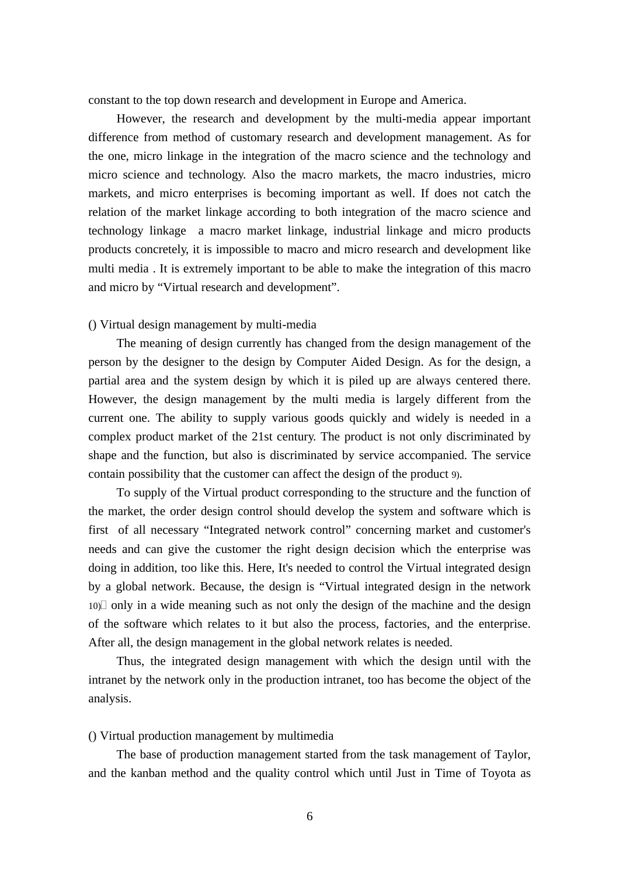constant to the top down research and development in Europe and America.

However, the research and development by the multi-media appear important difference from method of customary research and development management. As for the one, micro linkage in the integration of the macro science and the technology and micro science and technology. Also the macro markets, the macro industries, micro markets, and micro enterprises is becoming important as well. If does not catch the relation of the market linkage according to both integration of the macro science and technology linkage a macro market linkage, industrial linkage and micro products products concretely, it is impossible to macro and micro research and development like multi media . It is extremely important to be able to make the integration of this macro and micro by "Virtual research and development".

## () Virtual design management by multi-media

The meaning of design currently has changed from the design management of the person by the designer to the design by Computer Aided Design. As for the design, a partial area and the system design by which it is piled up are always centered there. However, the design management by the multi media is largely different from the current one. The ability to supply various goods quickly and widely is needed in a complex product market of the 21st century. The product is not only discriminated by shape and the function, but also is discriminated by service accompanied. The service contain possibility that the customer can affect the design of the product 9).

To supply of the Virtual product corresponding to the structure and the function of the market, the order design control should develop the system and software which is first of all necessary "Integrated network control" concerning market and customer's needs and can give the customer the right design decision which the enterprise was doing in addition, too like this. Here, It's needed to control the Virtual integrated design by a global network. Because, the design is "Virtual integrated design in the network 10)î only in a wide meaning such as not only the design of the machine and the design of the software which relates to it but also the process, factories, and the enterprise. After all, the design management in the global network relates is needed.

Thus, the integrated design management with which the design until with the intranet by the network only in the production intranet, too has become the object of the analysis.

## () Virtual production management by multimedia

The base of production management started from the task management of Taylor, and the kanban method and the quality control which until Just in Time of Toyota as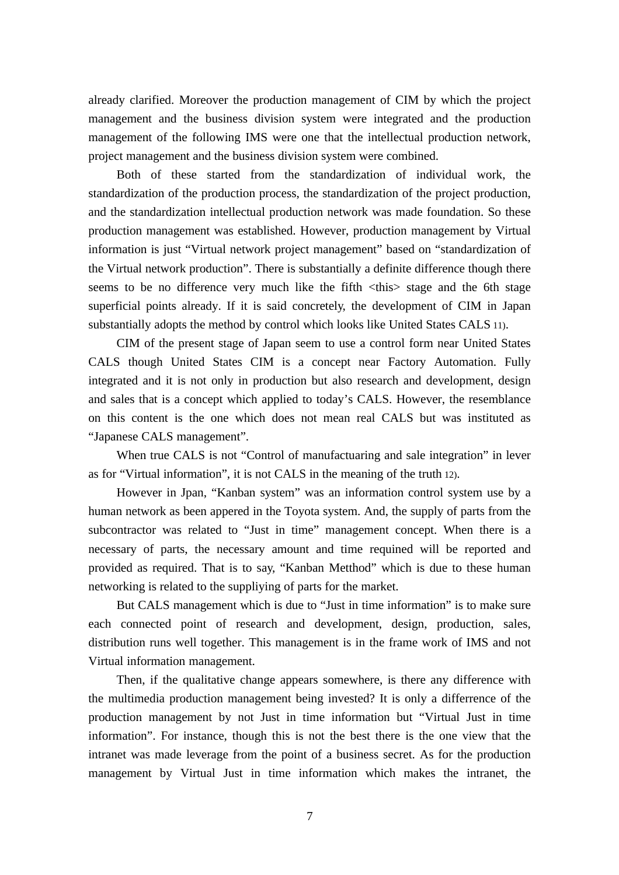already clarified. Moreover the production management of CIM by which the project management and the business division system were integrated and the production management of the following IMS were one that the intellectual production network, project management and the business division system were combined.

Both of these started from the standardization of individual work, the standardization of the production process, the standardization of the project production, and the standardization intellectual production network was made foundation. So these production management was established. However, production management by Virtual information is just "Virtual network project management" based on "standardization of the Virtual network production". There is substantially a definite difference though there seems to be no difference very much like the fifth <this> stage and the 6th stage superficial points already. If it is said concretely, the development of CIM in Japan substantially adopts the method by control which looks like United States CALS 11).

CIM of the present stage of Japan seem to use a control form near United States CALS though United States CIM is a concept near Factory Automation. Fully integrated and it is not only in production but also research and development, design and sales that is a concept which applied to today's CALS. However, the resemblance on this content is the one which does not mean real CALS but was instituted as "Japanese CALS management".

When true CALS is not "Control of manufactuaring and sale integration" in lever as for "Virtual information", it is not CALS in the meaning of the truth 12).

However in Jpan, "Kanban system" was an information control system use by a human network as been appered in the Toyota system. And, the supply of parts from the subcontractor was related to "Just in time" management concept. When there is a necessary of parts, the necessary amount and time requined will be reported and provided as required. That is to say, "Kanban Metthod" which is due to these human networking is related to the suppliying of parts for the market.

But CALS management which is due to "Just in time information" is to make sure each connected point of research and development, design, production, sales, distribution runs well together. This management is in the frame work of IMS and not Virtual information management.

Then, if the qualitative change appears somewhere, is there any difference with the multimedia production management being invested? It is only a differrence of the production management by not Just in time information but "Virtual Just in time information". For instance, though this is not the best there is the one view that the intranet was made leverage from the point of a business secret. As for the production management by Virtual Just in time information which makes the intranet, the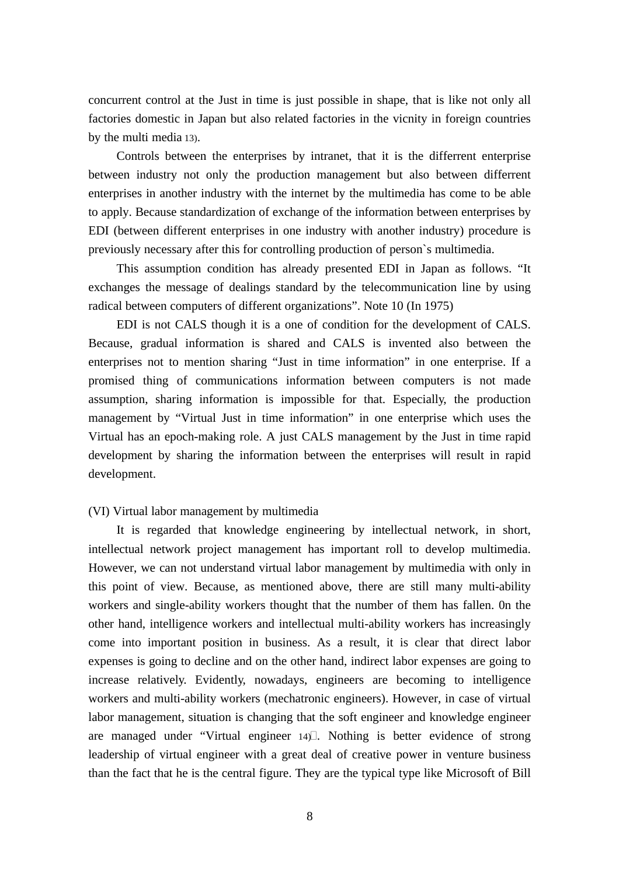concurrent control at the Just in time is just possible in shape, that is like not only all factories domestic in Japan but also related factories in the vicnity in foreign countries by the multi media 13).

Controls between the enterprises by intranet, that it is the differrent enterprise between industry not only the production management but also between differrent enterprises in another industry with the internet by the multimedia has come to be able to apply. Because standardization of exchange of the information between enterprises by EDI (between different enterprises in one industry with another industry) procedure is previously necessary after this for controlling production of person`s multimedia.

This assumption condition has already presented EDI in Japan as follows. "It exchanges the message of dealings standard by the telecommunication line by using radical between computers of different organizations". Note 10 (In 1975)

EDI is not CALS though it is a one of condition for the development of CALS. Because, gradual information is shared and CALS is invented also between the enterprises not to mention sharing "Just in time information" in one enterprise. If a promised thing of communications information between computers is not made assumption, sharing information is impossible for that. Especially, the production management by "Virtual Just in time information" in one enterprise which uses the Virtual has an epoch-making role. A just CALS management by the Just in time rapid development by sharing the information between the enterprises will result in rapid development.

## (VI) Virtual labor management by multimedia

It is regarded that knowledge engineering by intellectual network, in short, intellectual network project management has important roll to develop multimedia. However, we can not understand virtual labor management by multimedia with only in this point of view. Because, as mentioned above, there are still many multi-ability workers and single-ability workers thought that the number of them has fallen. 0n the other hand, intelligence workers and intellectual multi-ability workers has increasingly come into important position in business. As a result, it is clear that direct labor expenses is going to decline and on the other hand, indirect labor expenses are going to increase relatively. Evidently, nowadays, engineers are becoming to intelligence workers and multi-ability workers (mechatronic engineers). However, in case of virtual labor management, situation is changing that the soft engineer and knowledge engineer are managed under "Virtual engineer 14)î. Nothing is better evidence of strong leadership of virtual engineer with a great deal of creative power in venture business than the fact that he is the central figure. They are the typical type like Microsoft of Bill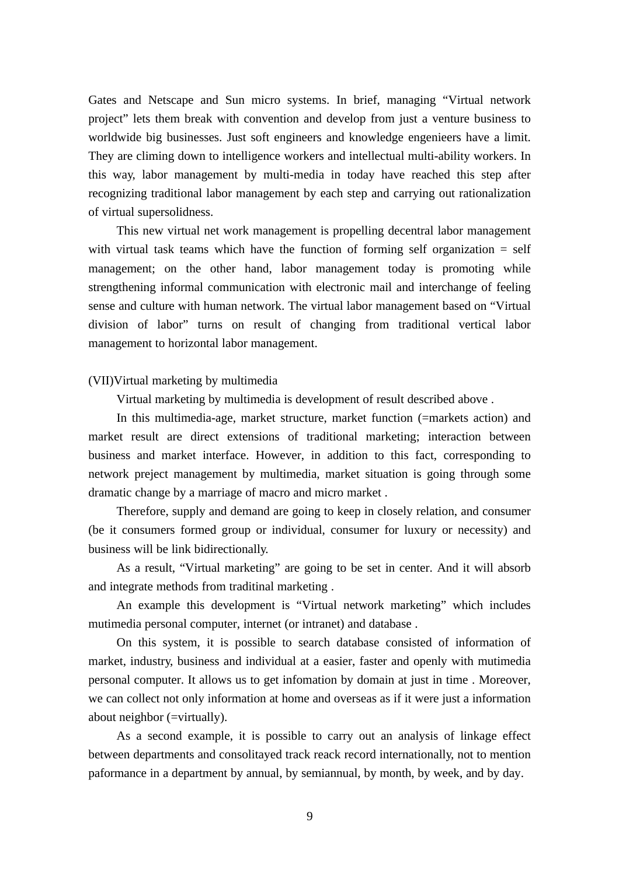Gates and Netscape and Sun micro systems. In brief, managing "Virtual network project" lets them break with convention and develop from just a venture business to worldwide big businesses. Just soft engineers and knowledge engenieers have a limit. They are climing down to intelligence workers and intellectual multi-ability workers. In this way, labor management by multi-media in today have reached this step after recognizing traditional labor management by each step and carrying out rationalization of virtual supersolidness.

This new virtual net work management is propelling decentral labor management with virtual task teams which have the function of forming self organization  $=$  self management; on the other hand, labor management today is promoting while strengthening informal communication with electronic mail and interchange of feeling sense and culture with human network. The virtual labor management based on "Virtual division of labor" turns on result of changing from traditional vertical labor management to horizontal labor management.

# (VII)Virtual marketing by multimedia

Virtual marketing by multimedia is development of result described above .

In this multimedia-age, market structure, market function (=markets action) and market result are direct extensions of traditional marketing; interaction between business and market interface. However, in addition to this fact, corresponding to network preject management by multimedia, market situation is going through some dramatic change by a marriage of macro and micro market .

Therefore, supply and demand are going to keep in closely relation, and consumer (be it consumers formed group or individual, consumer for luxury or necessity) and business will be link bidirectionally.

As a result, "Virtual marketing" are going to be set in center. And it will absorb and integrate methods from traditinal marketing .

An example this development is "Virtual network marketing" which includes mutimedia personal computer, internet (or intranet) and database .

On this system, it is possible to search database consisted of information of market, industry, business and individual at a easier, faster and openly with mutimedia personal computer. It allows us to get infomation by domain at just in time . Moreover, we can collect not only information at home and overseas as if it were just a information about neighbor (=virtually).

As a second example, it is possible to carry out an analysis of linkage effect between departments and consolitayed track reack record internationally, not to mention paformance in a department by annual, by semiannual, by month, by week, and by day.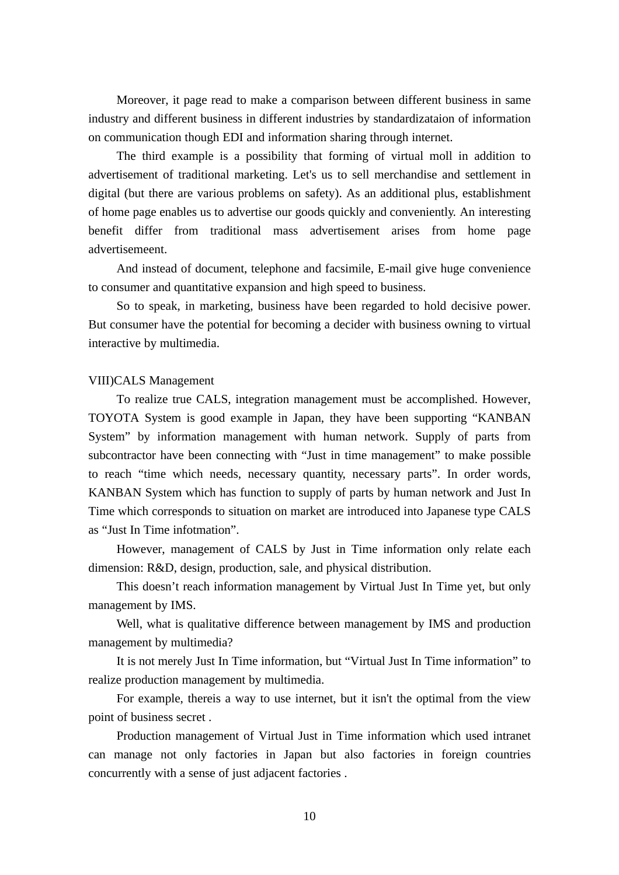Moreover, it page read to make a comparison between different business in same industry and different business in different industries by standardizataion of information on communication though EDI and information sharing through internet.

The third example is a possibility that forming of virtual moll in addition to advertisement of traditional marketing. Let's us to sell merchandise and settlement in digital (but there are various problems on safety). As an additional plus, establishment of home page enables us to advertise our goods quickly and conveniently. An interesting benefit differ from traditional mass advertisement arises from home page advertisemeent.

And instead of document, telephone and facsimile, E-mail give huge convenience to consumer and quantitative expansion and high speed to business.

So to speak, in marketing, business have been regarded to hold decisive power. But consumer have the potential for becoming a decider with business owning to virtual interactive by multimedia.

## VIII)CALS Management

To realize true CALS, integration management must be accomplished. However, TOYOTA System is good example in Japan, they have been supporting "KANBAN System" by information management with human network. Supply of parts from subcontractor have been connecting with "Just in time management" to make possible to reach "time which needs, necessary quantity, necessary parts". In order words, KANBAN System which has function to supply of parts by human network and Just In Time which corresponds to situation on market are introduced into Japanese type CALS as "Just In Time infotmation".

However, management of CALS by Just in Time information only relate each dimension: R&D, design, production, sale, and physical distribution.

This doesn't reach information management by Virtual Just In Time yet, but only management by IMS.

Well, what is qualitative difference between management by IMS and production management by multimedia?

It is not merely Just In Time information, but "Virtual Just In Time information" to realize production management by multimedia.

For example, thereis a way to use internet, but it isn't the optimal from the view point of business secret .

Production management of Virtual Just in Time information which used intranet can manage not only factories in Japan but also factories in foreign countries concurrently with a sense of just adjacent factories .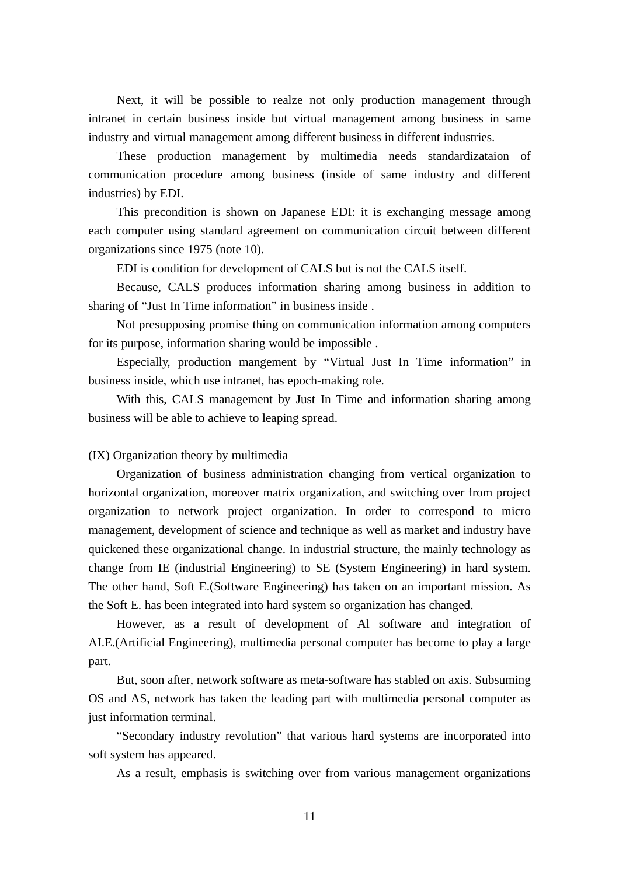Next, it will be possible to realze not only production management through intranet in certain business inside but virtual management among business in same industry and virtual management among different business in different industries.

These production management by multimedia needs standardizataion of communication procedure among business (inside of same industry and different industries) by EDI.

This precondition is shown on Japanese EDI: it is exchanging message among each computer using standard agreement on communication circuit between different organizations since 1975 (note 10).

EDI is condition for development of CALS but is not the CALS itself.

Because, CALS produces information sharing among business in addition to sharing of "Just In Time information" in business inside .

Not presupposing promise thing on communication information among computers for its purpose, information sharing would be impossible .

Especially, production mangement by "Virtual Just In Time information" in business inside, which use intranet, has epoch-making role.

With this, CALS management by Just In Time and information sharing among business will be able to achieve to leaping spread.

## (IX) Organization theory by multimedia

Organization of business administration changing from vertical organization to horizontal organization, moreover matrix organization, and switching over from project organization to network project organization. In order to correspond to micro management, development of science and technique as well as market and industry have quickened these organizational change. In industrial structure, the mainly technology as change from IE (industrial Engineering) to SE (System Engineering) in hard system. The other hand, Soft E.(Software Engineering) has taken on an important mission. As the Soft E. has been integrated into hard system so organization has changed.

However, as a result of development of Al software and integration of AI.E.(Artificial Engineering), multimedia personal computer has become to play a large part.

But, soon after, network software as meta-software has stabled on axis. Subsuming OS and AS, network has taken the leading part with multimedia personal computer as just information terminal.

"Secondary industry revolution" that various hard systems are incorporated into soft system has appeared.

As a result, emphasis is switching over from various management organizations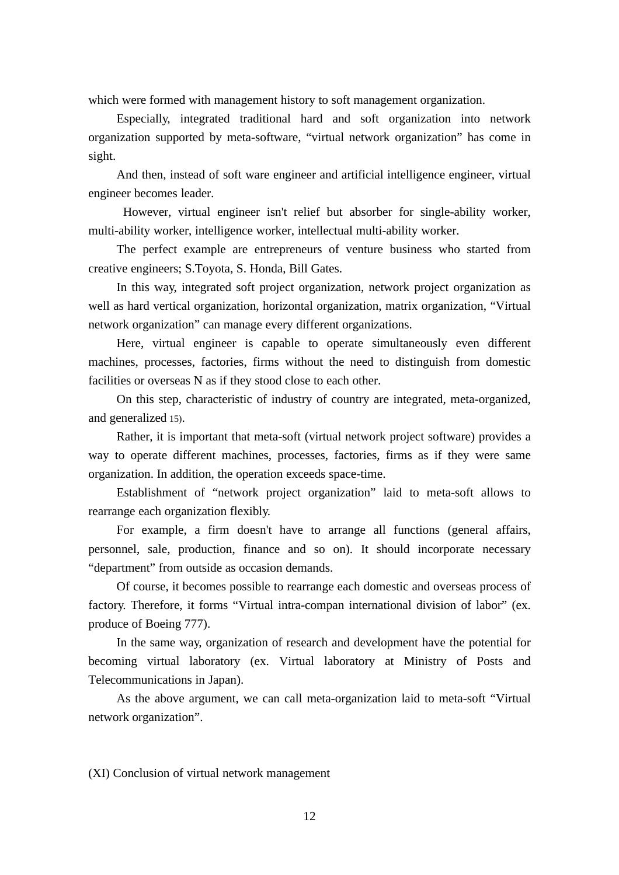which were formed with management history to soft management organization.

Especially, integrated traditional hard and soft organization into network organization supported by meta-software, "virtual network organization" has come in sight.

And then, instead of soft ware engineer and artificial intelligence engineer, virtual engineer becomes leader.

 However, virtual engineer isn't relief but absorber for single-ability worker, multi-ability worker, intelligence worker, intellectual multi-ability worker.

The perfect example are entrepreneurs of venture business who started from creative engineers; S.Toyota, S. Honda, Bill Gates.

In this way, integrated soft project organization, network project organization as well as hard vertical organization, horizontal organization, matrix organization, "Virtual network organization" can manage every different organizations.

Here, virtual engineer is capable to operate simultaneously even different machines, processes, factories, firms without the need to distinguish from domestic facilities or overseas N as if they stood close to each other.

On this step, characteristic of industry of country are integrated, meta-organized, and generalized 15).

Rather, it is important that meta-soft (virtual network project software) provides a way to operate different machines, processes, factories, firms as if they were same organization. In addition, the operation exceeds space-time.

Establishment of "network project organization" laid to meta-soft allows to rearrange each organization flexibly.

For example, a firm doesn't have to arrange all functions (general affairs, personnel, sale, production, finance and so on). It should incorporate necessary "department" from outside as occasion demands.

Of course, it becomes possible to rearrange each domestic and overseas process of factory. Therefore, it forms "Virtual intra-compan international division of labor" (ex. produce of Boeing 777).

In the same way, organization of research and development have the potential for becoming virtual laboratory (ex. Virtual laboratory at Ministry of Posts and Telecommunications in Japan).

As the above argument, we can call meta-organization laid to meta-soft "Virtual network organization".

(XI) Conclusion of virtual network management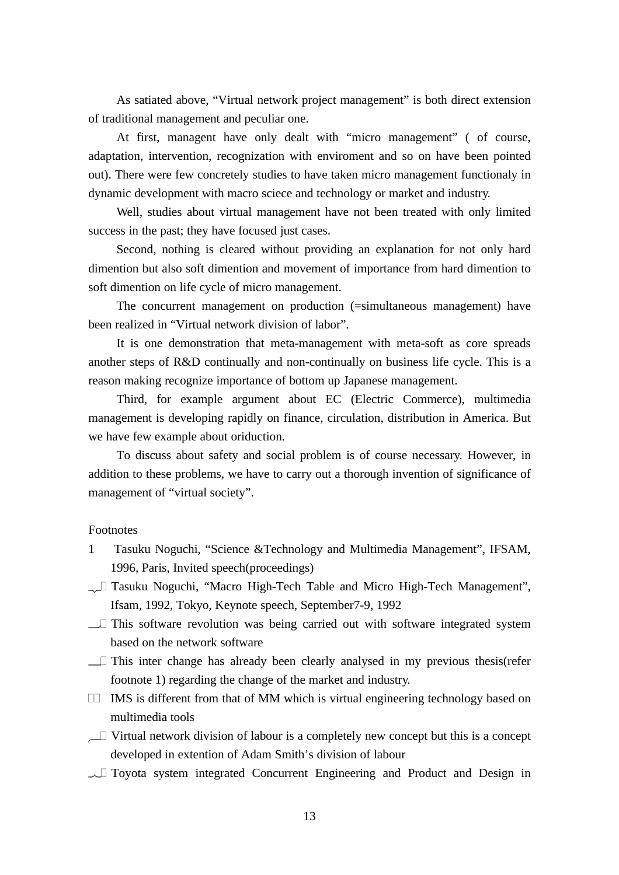As satiated above, "Virtual network project management" is both direct extension of traditional management and peculiar one.

At first, managent have only dealt with "micro management" ( of course, adaptation, intervention, recognization with enviroment and so on have been pointed out). There were few concretely studies to have taken micro management functionaly in dynamic development with macro sciece and technology or market and industry.

Well, studies about virtual management have not been treated with only limited success in the past; they have focused just cases.

Second, nothing is cleared without providing an explanation for not only hard dimention but also soft dimention and movement of importance from hard dimention to soft dimention on life cycle of micro management.

The concurrent management on production (=simultaneous management) have been realized in "Virtual network division of labor".

It is one demonstration that meta-management with meta-soft as core spreads another steps of R&D continually and non-continually on business life cycle. This is a reason making recognize importance of bottom up Japanese management.

Third, for example argument about EC (Electric Commerce), multimedia management is developing rapidly on finance, circulation, distribution in America. But we have few example about oriduction.

To discuss about safety and social problem is of course necessary. However, in addition to these problems, we have to carry out a thorough invention of significance of management of "virtual society".

# Footnotes

- 1 Tasuku Noguchi, "Science &Technology and Multimedia Management", IFSAM, 1996, Paris, Invited speech(proceedings)
- <sub>2</sub>. Tasuku Noguchi, "Macro High-Tech Table and Micro High-Tech Management", Ifsam, 1992, Tokyo, Keynote speech, September7-9, 1992
- $\overline{\phantom{a}}$ . This software revolution was being carried out with software integrated system based on the network software
- $\overline{\phantom{a}}$ . This inter change has already been clearly analysed in my previous thesis(refer footnote 1) regarding the change of the market and industry.
- 5. IMS is different from that of MM which is virtual engineering technology based on multimedia tools
- $\overline{\phantom{a}}$ . Virtual network division of labour is a completely new concept but this is a concept developed in extention of Adam Smith's division of labour
- $\sim$ . Toyota system integrated Concurrent Engineering and Product and Design in